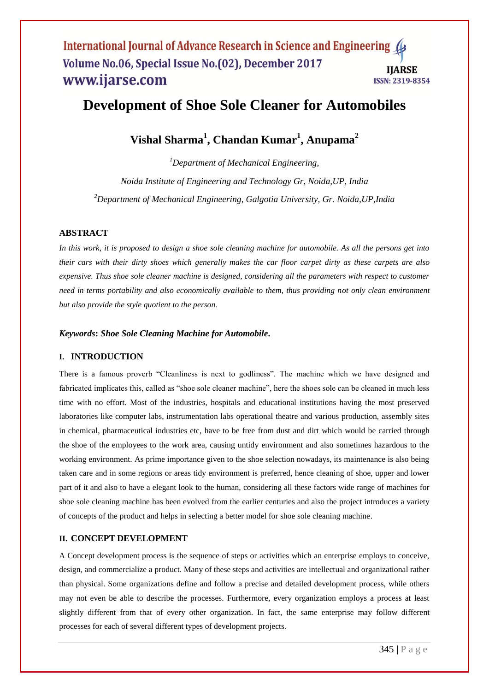#### International Journal of Advance Research in Science and Engineering ( Volume No.06, Special Issue No.(02), December 2017 **IIARSE** www.ijarse.com ISSN: 2319-8354

## **Development of Shoe Sole Cleaner for Automobiles**

**Vishal Sharma<sup>1</sup> , Chandan Kumar<sup>1</sup> , Anupama<sup>2</sup>**

*<sup>1</sup>Department of Mechanical Engineering, Noida Institute of Engineering and Technology Gr, Noida,UP, India <sup>2</sup>Department of Mechanical Engineering, Galgotia University, Gr. Noida,UP,India*

## **ABSTRACT**

*In this work, it is proposed to design a shoe sole cleaning machine for automobile. As all the persons get into their cars with their dirty shoes which generally makes the car floor carpet dirty as these carpets are also expensive. Thus shoe sole cleaner machine is designed, considering all the parameters with respect to customer need in terms portability and also economically available to them, thus providing not only clean environment but also provide the style quotient to the person*.

#### *Keywords***:** *Shoe Sole Cleaning Machine for Automobile***.**

#### **I. INTRODUCTION**

There is a famous proverb "Cleanliness is next to godliness". The machine which we have designed and fabricated implicates this, called as "shoe sole cleaner machine", here the shoes sole can be cleaned in much less time with no effort. Most of the industries, hospitals and educational institutions having the most preserved laboratories like computer labs, instrumentation labs operational theatre and various production, assembly sites in chemical, pharmaceutical industries etc, have to be free from dust and dirt which would be carried through the shoe of the employees to the work area, causing untidy environment and also sometimes hazardous to the working environment. As prime importance given to the shoe selection nowadays, its maintenance is also being taken care and in some regions or areas tidy environment is preferred, hence cleaning of shoe, upper and lower part of it and also to have a elegant look to the human, considering all these factors wide range of machines for shoe sole cleaning machine has been evolved from the earlier centuries and also the project introduces a variety of concepts of the product and helps in selecting a better model for shoe sole cleaning machine.

## **II. CONCEPT DEVELOPMENT**

A Concept development process is the sequence of steps or activities which an enterprise employs to conceive, design, and commercialize a product. Many of these steps and activities are intellectual and organizational rather than physical. Some organizations define and follow a precise and detailed development process, while others may not even be able to describe the processes. Furthermore, every organization employs a process at least slightly different from that of every other organization. In fact, the same enterprise may follow different processes for each of several different types of development projects.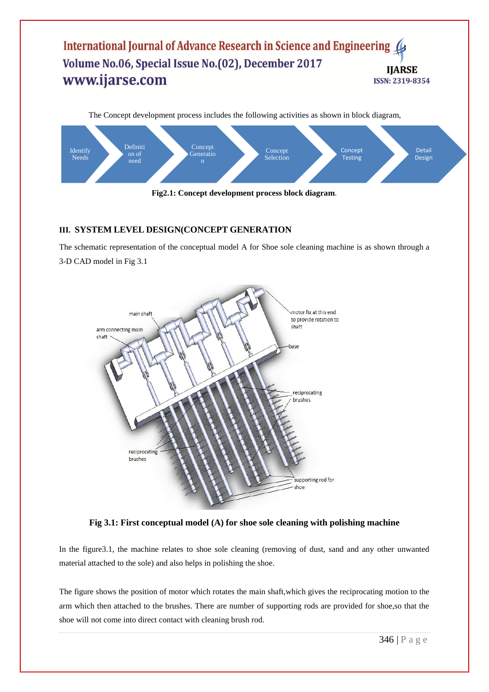## International Journal of Advance Research in Science and Engineering ( Volume No.06, Special Issue No.(02), December 2017 **IJARSE** www.ijarse.com ISSN: 2319-8354



## **III. SYSTEM LEVEL DESIGN(CONCEPT GENERATION**

The schematic representation of the conceptual model A for Shoe sole cleaning machine is as shown through a 3-D CAD model in Fig 3.1



**Fig 3.1: First conceptual model (A) for shoe sole cleaning with polishing machine**

In the figure3.1, the machine relates to shoe sole cleaning (removing of dust, sand and any other unwanted material attached to the sole) and also helps in polishing the shoe.

The figure shows the position of motor which rotates the main shaft,which gives the reciprocating motion to the arm which then attached to the brushes. There are number of supporting rods are provided for shoe,so that the shoe will not come into direct contact with cleaning brush rod.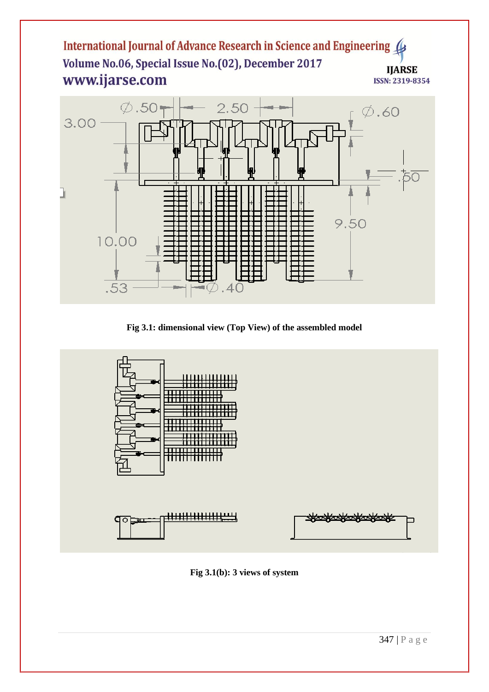## International Journal of Advance Research in Science and Engineering Volume No.06, Special Issue No.(02), December 2017 **IJARSE** www.ijarse.com ISSN: 2319-8354



**Fig 3.1: dimensional view (Top View) of the assembled model**

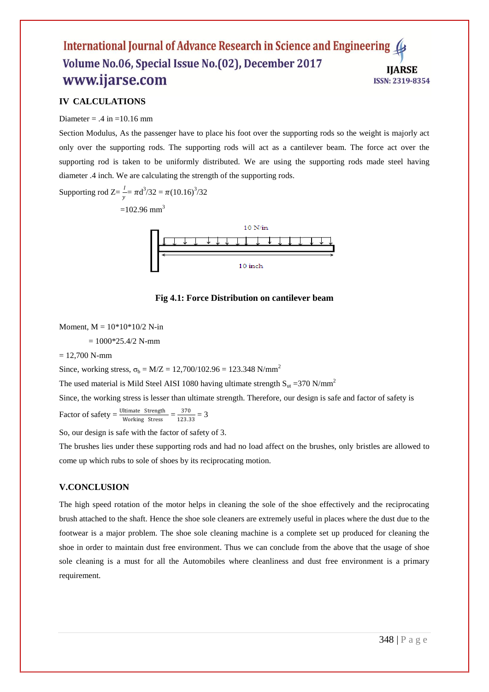#### International Journal of Advance Research in Science and Engineering ( Volume No.06, Special Issue No.(02), December 2017 **IIARSE** www.ijarse.com ISSN: 2319-8354

## **IV CALCULATIONS**

#### Diameter =  $.4$  in =10.16 mm

Section Modulus, As the passenger have to place his foot over the supporting rods so the weight is majorly act only over the supporting rods. The supporting rods will act as a cantilever beam. The force act over the supporting rod is taken to be uniformly distributed. We are using the supporting rods made steel having diameter .4 inch. We are calculating the strength of the supporting rods.

Supporting rod  $Z = \frac{I}{y} = \pi d^3/32 = \pi (10.16)^3/32$ 

 $=102.96$  mm<sup>3</sup>



#### **Fig 4.1: Force Distribution on cantilever beam**

Moment,  $M = 10*10*10/2$  N-in

 $= 1000*25.4/2$  N-mm

 $= 12,700$  N-mm

Since, working stress,  $\sigma_b = M/Z = 12,700/102.96 = 123.348 \text{ N/mm}^2$ 

The used material is Mild Steel AISI 1080 having ultimate strength  $S_{ut}$  =370 N/mm<sup>2</sup>

Since, the working stress is lesser than ultimate strength. Therefore, our design is safe and factor of safety is

Factor of safety =  $\frac{\text{Ultimate Strength}}{\text{Working Stress}} = \frac{370}{123.3}$  $\frac{370}{123.33} = 3$ 

So, our design is safe with the factor of safety of 3.

The brushes lies under these supporting rods and had no load affect on the brushes, only bristles are allowed to come up which rubs to sole of shoes by its reciprocating motion.

#### **V.CONCLUSION**

The high speed rotation of the motor helps in cleaning the sole of the shoe effectively and the reciprocating brush attached to the shaft. Hence the shoe sole cleaners are extremely useful in places where the dust due to the footwear is a major problem. The shoe sole cleaning machine is a complete set up produced for cleaning the shoe in order to maintain dust free environment. Thus we can conclude from the above that the usage of shoe sole cleaning is a must for all the Automobiles where cleanliness and dust free environment is a primary requirement.